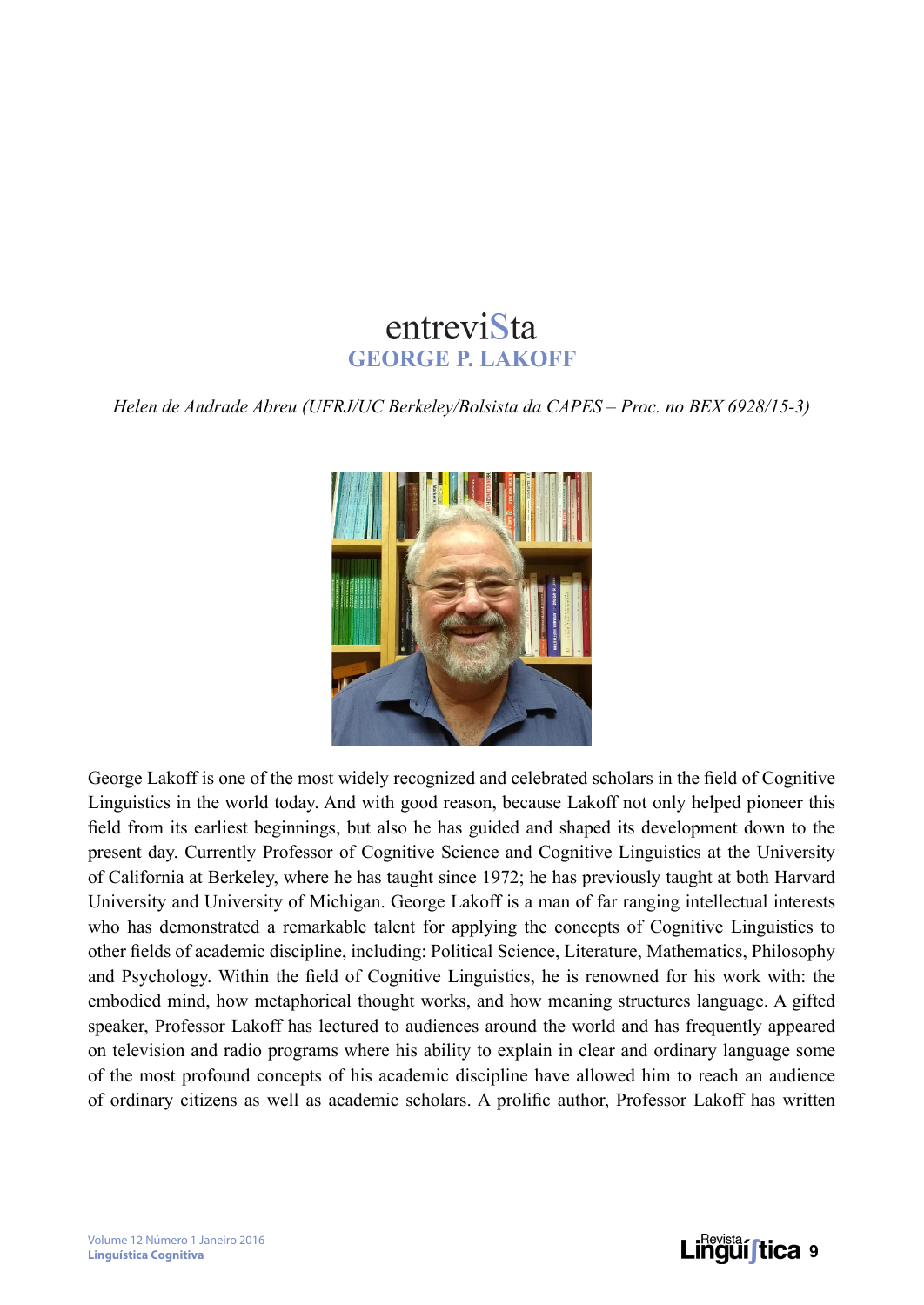## entreviSta **GEORGE P. LAKOFF**

*Helen de Andrade Abreu (UFRJ/UC Berkeley/Bolsista da CAPES – Proc. no BEX 6928/15-3)*



George Lakoff is one of the most widely recognized and celebrated scholars in the field of Cognitive Linguistics in the world today. And with good reason, because Lakoff not only helped pioneer this field from its earliest beginnings, but also he has guided and shaped its development down to the present day. Currently Professor of Cognitive Science and Cognitive Linguistics at the University of California at Berkeley, where he has taught since 1972; he has previously taught at both Harvard University and University of Michigan. George Lakoff is a man of far ranging intellectual interests who has demonstrated a remarkable talent for applying the concepts of Cognitive Linguistics to other fields of academic discipline, including: Political Science, Literature, Mathematics, Philosophy and Psychology. Within the field of Cognitive Linguistics, he is renowned for his work with: the embodied mind, how metaphorical thought works, and how meaning structures language. A gifted speaker, Professor Lakoff has lectured to audiences around the world and has frequently appeared on television and radio programs where his ability to explain in clear and ordinary language some of the most profound concepts of his academic discipline have allowed him to reach an audience of ordinary citizens as well as academic scholars. A prolific author, Professor Lakoff has written

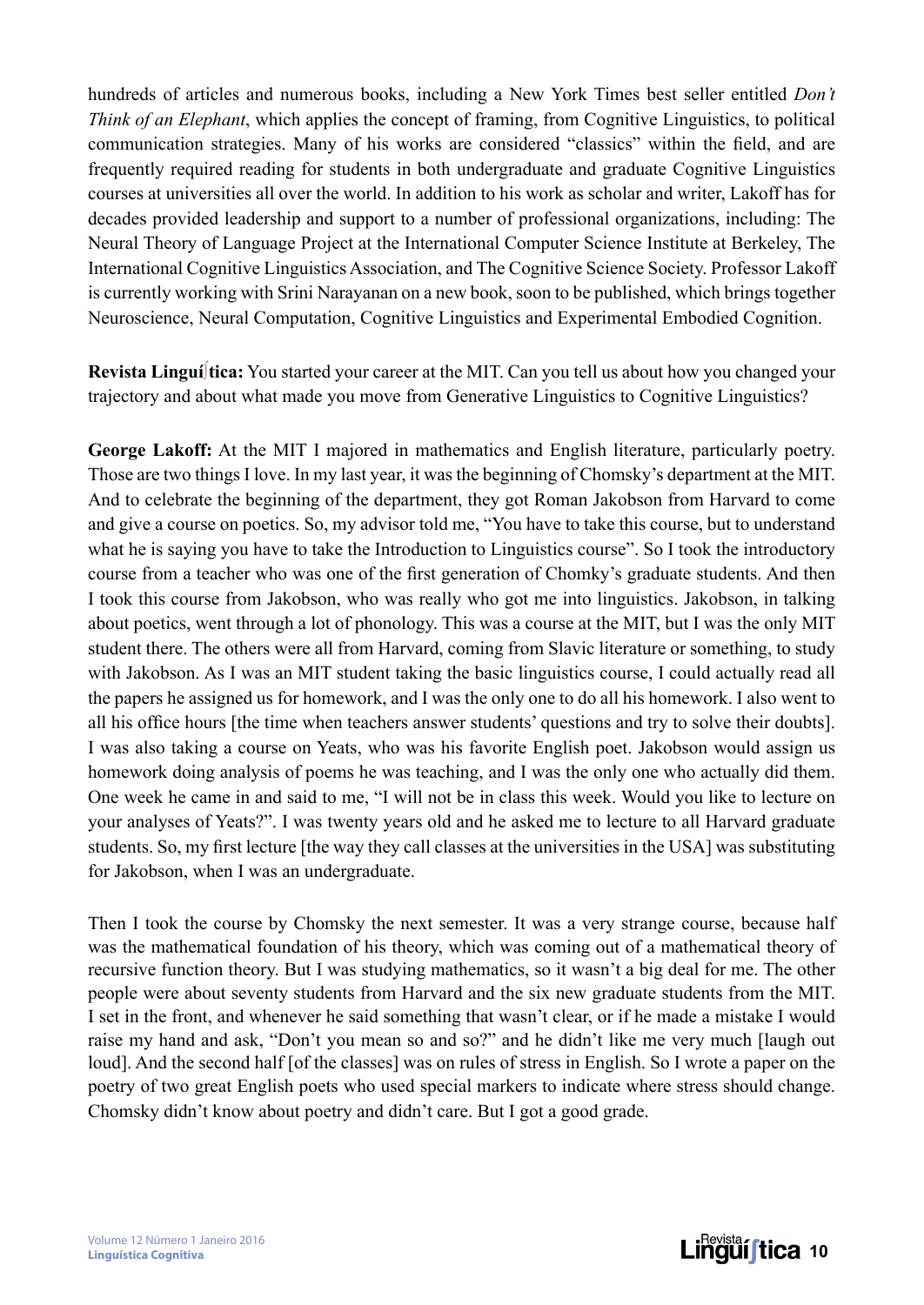hundreds of articles and numerous books, including a New York Times best seller entitled *Don't Think of an Elephant*, which applies the concept of framing, from Cognitive Linguistics, to political communication strategies. Many of his works are considered "classics" within the field, and are frequently required reading for students in both undergraduate and graduate Cognitive Linguistics courses at universities all over the world. In addition to his work as scholar and writer, Lakoff has for decades provided leadership and support to a number of professional organizations, including: The Neural Theory of Language Project at the International Computer Science Institute at Berkeley, The International Cognitive Linguistics Association, and The Cognitive Science Society. Professor Lakoff is currently working with Srini Narayanan on a new book, soon to be published, which brings together Neuroscience, Neural Computation, Cognitive Linguistics and Experimental Embodied Cognition.

**Revista Linguí**∫**tica:** You started your career at the MIT. Can you tell us about how you changed your trajectory and about what made you move from Generative Linguistics to Cognitive Linguistics?

**George Lakoff:** At the MIT I majored in mathematics and English literature, particularly poetry. Those are two things I love. In my last year, it was the beginning of Chomsky's department at the MIT. And to celebrate the beginning of the department, they got Roman Jakobson from Harvard to come and give a course on poetics. So, my advisor told me, "You have to take this course, but to understand what he is saying you have to take the Introduction to Linguistics course". So I took the introductory course from a teacher who was one of the first generation of Chomky's graduate students. And then I took this course from Jakobson, who was really who got me into linguistics. Jakobson, in talking about poetics, went through a lot of phonology. This was a course at the MIT, but I was the only MIT student there. The others were all from Harvard, coming from Slavic literature or something, to study with Jakobson. As I was an MIT student taking the basic linguistics course, I could actually read all the papers he assigned us for homework, and I was the only one to do all his homework. I also went to all his office hours [the time when teachers answer students' questions and try to solve their doubts]. I was also taking a course on Yeats, who was his favorite English poet. Jakobson would assign us homework doing analysis of poems he was teaching, and I was the only one who actually did them. One week he came in and said to me, "I will not be in class this week. Would you like to lecture on your analyses of Yeats?". I was twenty years old and he asked me to lecture to all Harvard graduate students. So, my first lecture [the way they call classes at the universities in the USA] was substituting for Jakobson, when I was an undergraduate.

Then I took the course by Chomsky the next semester. It was a very strange course, because half was the mathematical foundation of his theory, which was coming out of a mathematical theory of recursive function theory. But I was studying mathematics, so it wasn't a big deal for me. The other people were about seventy students from Harvard and the six new graduate students from the MIT. I set in the front, and whenever he said something that wasn't clear, or if he made a mistake I would raise my hand and ask, "Don't you mean so and so?" and he didn't like me very much [laugh out loud]. And the second half [of the classes] was on rules of stress in English. So I wrote a paper on the poetry of two great English poets who used special markers to indicate where stress should change. Chomsky didn't know about poetry and didn't care. But I got a good grade.

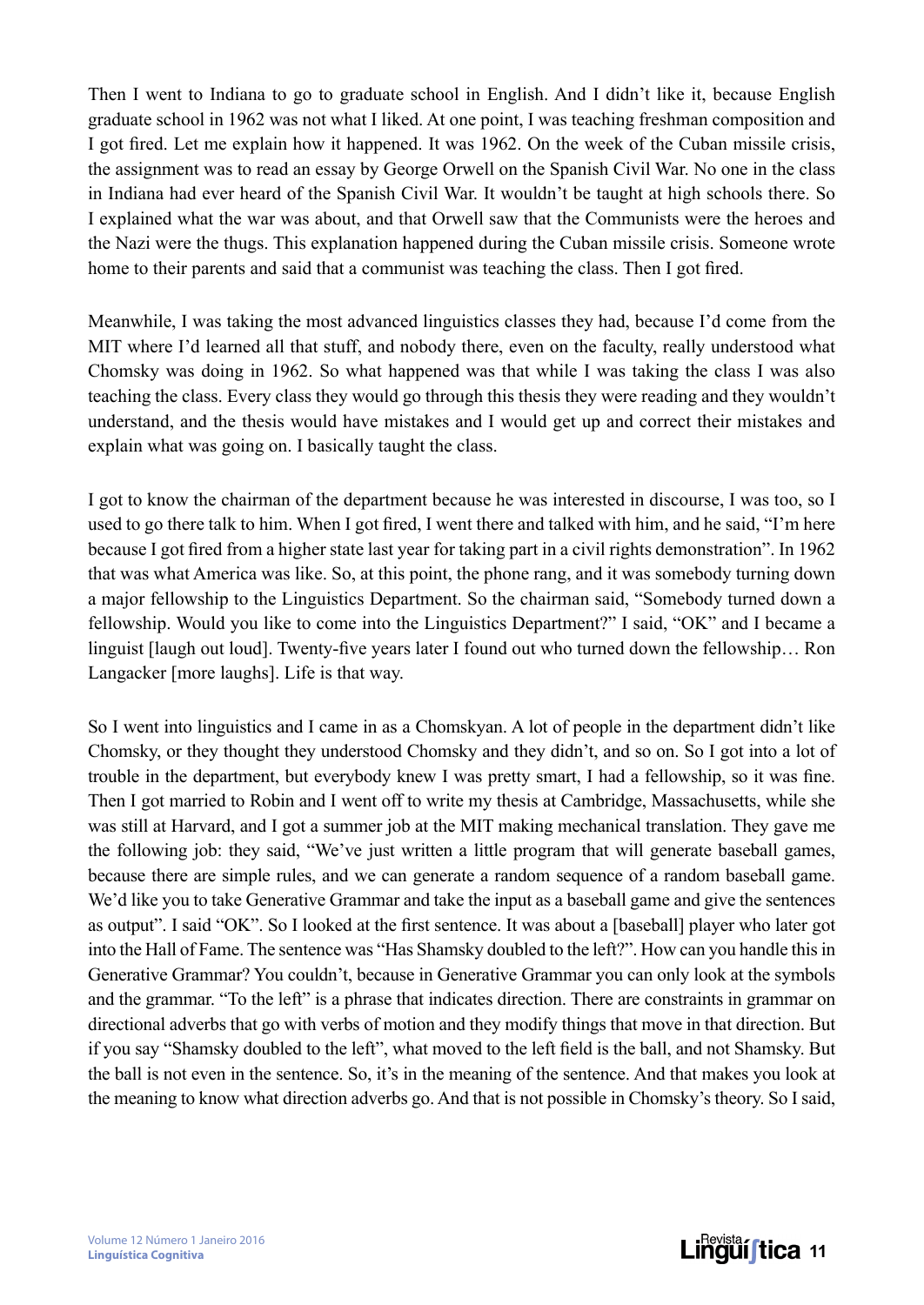Then I went to Indiana to go to graduate school in English. And I didn't like it, because English graduate school in 1962 was not what I liked. At one point, I was teaching freshman composition and I got fired. Let me explain how it happened. It was 1962. On the week of the Cuban missile crisis, the assignment was to read an essay by George Orwell on the Spanish Civil War. No one in the class in Indiana had ever heard of the Spanish Civil War. It wouldn't be taught at high schools there. So I explained what the war was about, and that Orwell saw that the Communists were the heroes and the Nazi were the thugs. This explanation happened during the Cuban missile crisis. Someone wrote home to their parents and said that a communist was teaching the class. Then I got fired.

Meanwhile, I was taking the most advanced linguistics classes they had, because I'd come from the MIT where I'd learned all that stuff, and nobody there, even on the faculty, really understood what Chomsky was doing in 1962. So what happened was that while I was taking the class I was also teaching the class. Every class they would go through this thesis they were reading and they wouldn't understand, and the thesis would have mistakes and I would get up and correct their mistakes and explain what was going on. I basically taught the class.

I got to know the chairman of the department because he was interested in discourse, I was too, so I used to go there talk to him. When I got fired, I went there and talked with him, and he said, "I'm here because I got fired from a higher state last year for taking part in a civil rights demonstration". In 1962 that was what America was like. So, at this point, the phone rang, and it was somebody turning down a major fellowship to the Linguistics Department. So the chairman said, "Somebody turned down a fellowship. Would you like to come into the Linguistics Department?" I said, "OK" and I became a linguist [laugh out loud]. Twenty-five years later I found out who turned down the fellowship… Ron Langacker [more laughs]. Life is that way.

So I went into linguistics and I came in as a Chomskyan. A lot of people in the department didn't like Chomsky, or they thought they understood Chomsky and they didn't, and so on. So I got into a lot of trouble in the department, but everybody knew I was pretty smart, I had a fellowship, so it was fine. Then I got married to Robin and I went off to write my thesis at Cambridge, Massachusetts, while she was still at Harvard, and I got a summer job at the MIT making mechanical translation. They gave me the following job: they said, "We've just written a little program that will generate baseball games, because there are simple rules, and we can generate a random sequence of a random baseball game. We'd like you to take Generative Grammar and take the input as a baseball game and give the sentences as output". I said "OK". So I looked at the first sentence. It was about a [baseball] player who later got into the Hall of Fame. The sentence was "Has Shamsky doubled to the left?". How can you handle this in Generative Grammar? You couldn't, because in Generative Grammar you can only look at the symbols and the grammar. "To the left" is a phrase that indicates direction. There are constraints in grammar on directional adverbs that go with verbs of motion and they modify things that move in that direction. But if you say "Shamsky doubled to the left", what moved to the left field is the ball, and not Shamsky. But the ball is not even in the sentence. So, it's in the meaning of the sentence. And that makes you look at the meaning to know what direction adverbs go. And that is not possible in Chomsky's theory. So I said,

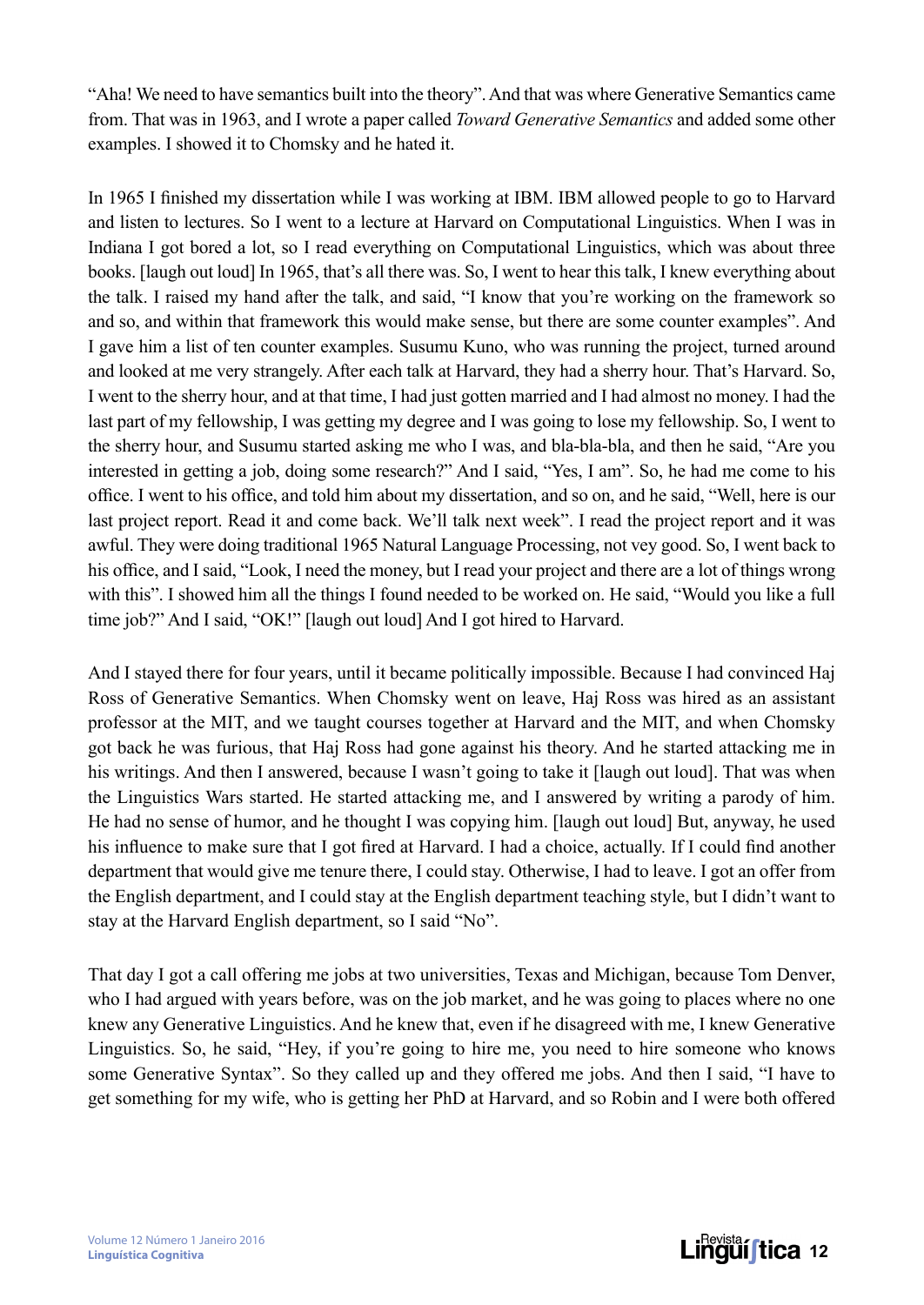"Aha! We need to have semantics built into the theory". And that was where Generative Semantics came from. That was in 1963, and I wrote a paper called *Toward Generative Semantics* and added some other examples. I showed it to Chomsky and he hated it.

In 1965 I finished my dissertation while I was working at IBM. IBM allowed people to go to Harvard and listen to lectures. So I went to a lecture at Harvard on Computational Linguistics. When I was in Indiana I got bored a lot, so I read everything on Computational Linguistics, which was about three books. [laugh out loud] In 1965, that's all there was. So, I went to hear this talk, I knew everything about the talk. I raised my hand after the talk, and said, "I know that you're working on the framework so and so, and within that framework this would make sense, but there are some counter examples". And I gave him a list of ten counter examples. Susumu Kuno, who was running the project, turned around and looked at me very strangely. After each talk at Harvard, they had a sherry hour. That's Harvard. So, I went to the sherry hour, and at that time, I had just gotten married and I had almost no money. I had the last part of my fellowship, I was getting my degree and I was going to lose my fellowship. So, I went to the sherry hour, and Susumu started asking me who I was, and bla-bla-bla, and then he said, "Are you interested in getting a job, doing some research?" And I said, "Yes, I am". So, he had me come to his office. I went to his office, and told him about my dissertation, and so on, and he said, "Well, here is our last project report. Read it and come back. We'll talk next week". I read the project report and it was awful. They were doing traditional 1965 Natural Language Processing, not vey good. So, I went back to his office, and I said, "Look, I need the money, but I read your project and there are a lot of things wrong with this". I showed him all the things I found needed to be worked on. He said, "Would you like a full time job?" And I said, "OK!" [laugh out loud] And I got hired to Harvard.

And I stayed there for four years, until it became politically impossible. Because I had convinced Haj Ross of Generative Semantics. When Chomsky went on leave, Haj Ross was hired as an assistant professor at the MIT, and we taught courses together at Harvard and the MIT, and when Chomsky got back he was furious, that Haj Ross had gone against his theory. And he started attacking me in his writings. And then I answered, because I wasn't going to take it [laugh out loud]. That was when the Linguistics Wars started. He started attacking me, and I answered by writing a parody of him. He had no sense of humor, and he thought I was copying him. [laugh out loud] But, anyway, he used his influence to make sure that I got fired at Harvard. I had a choice, actually. If I could find another department that would give me tenure there, I could stay. Otherwise, I had to leave. I got an offer from the English department, and I could stay at the English department teaching style, but I didn't want to stay at the Harvard English department, so I said "No".

That day I got a call offering me jobs at two universities, Texas and Michigan, because Tom Denver, who I had argued with years before, was on the job market, and he was going to places where no one knew any Generative Linguistics. And he knew that, even if he disagreed with me, I knew Generative Linguistics. So, he said, "Hey, if you're going to hire me, you need to hire someone who knows some Generative Syntax". So they called up and they offered me jobs. And then I said, "I have to get something for my wife, who is getting her PhD at Harvard, and so Robin and I were both offered

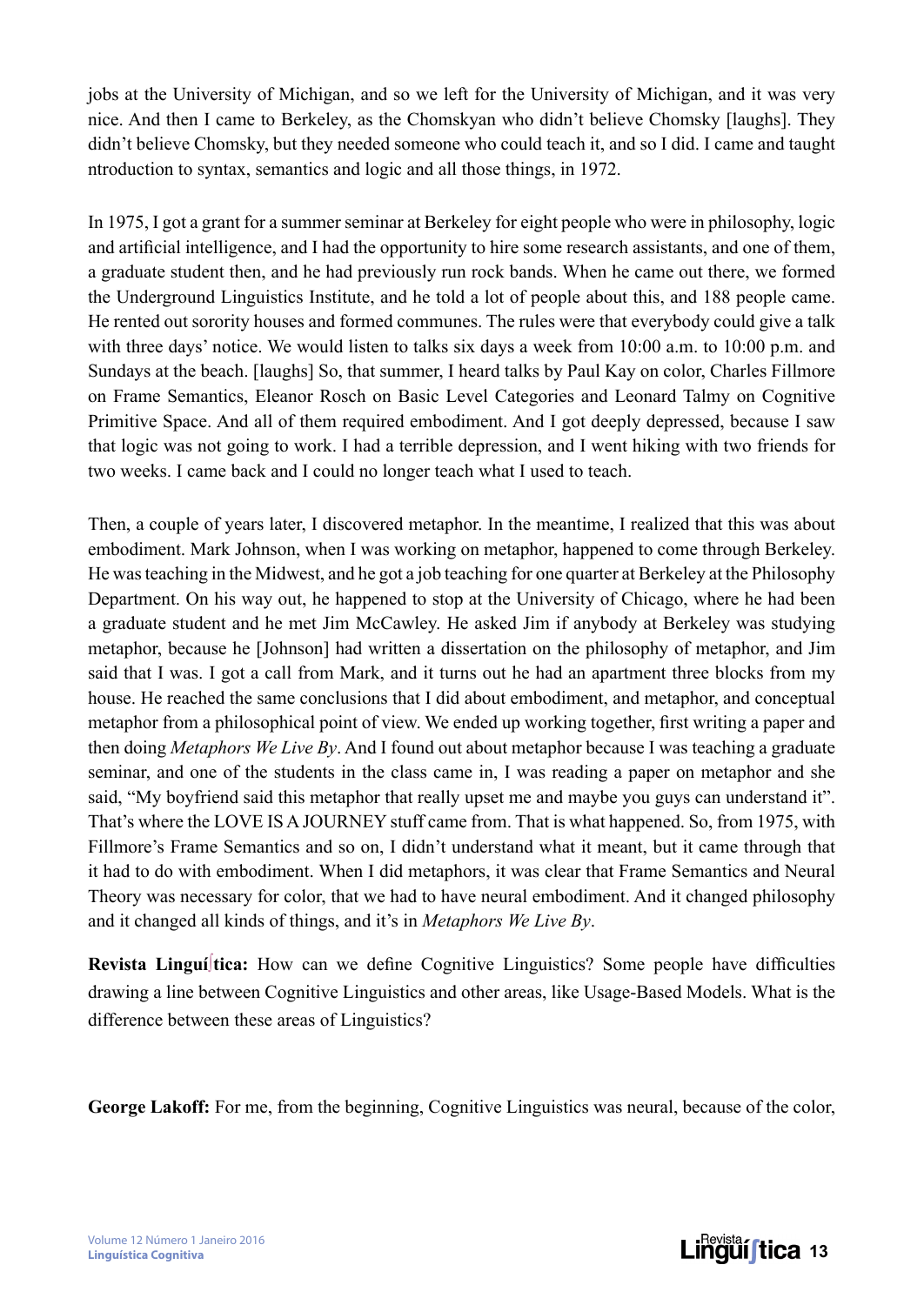jobs at the University of Michigan, and so we left for the University of Michigan, and it was very nice. And then I came to Berkeley, as the Chomskyan who didn't believe Chomsky [laughs]. They didn't believe Chomsky, but they needed someone who could teach it, and so I did. I came and taught ntroduction to syntax, semantics and logic and all those things, in 1972.

In 1975, I got a grant for a summer seminar at Berkeley for eight people who were in philosophy, logic and artificial intelligence, and I had the opportunity to hire some research assistants, and one of them, a graduate student then, and he had previously run rock bands. When he came out there, we formed the Underground Linguistics Institute, and he told a lot of people about this, and 188 people came. He rented out sorority houses and formed communes. The rules were that everybody could give a talk with three days' notice. We would listen to talks six days a week from 10:00 a.m. to 10:00 p.m. and Sundays at the beach. [laughs] So, that summer, I heard talks by Paul Kay on color, Charles Fillmore on Frame Semantics, Eleanor Rosch on Basic Level Categories and Leonard Talmy on Cognitive Primitive Space. And all of them required embodiment. And I got deeply depressed, because I saw that logic was not going to work. I had a terrible depression, and I went hiking with two friends for two weeks. I came back and I could no longer teach what I used to teach.

Then, a couple of years later, I discovered metaphor. In the meantime, I realized that this was about embodiment. Mark Johnson, when I was working on metaphor, happened to come through Berkeley. He was teaching in the Midwest, and he got a job teaching for one quarter at Berkeley at the Philosophy Department. On his way out, he happened to stop at the University of Chicago, where he had been a graduate student and he met Jim McCawley. He asked Jim if anybody at Berkeley was studying metaphor, because he [Johnson] had written a dissertation on the philosophy of metaphor, and Jim said that I was. I got a call from Mark, and it turns out he had an apartment three blocks from my house. He reached the same conclusions that I did about embodiment, and metaphor, and conceptual metaphor from a philosophical point of view. We ended up working together, first writing a paper and then doing *Metaphors We Live By*. And I found out about metaphor because I was teaching a graduate seminar, and one of the students in the class came in, I was reading a paper on metaphor and she said, "My boyfriend said this metaphor that really upset me and maybe you guys can understand it". That's where the LOVE IS A JOURNEY stuff came from. That is what happened. So, from 1975, with Fillmore's Frame Semantics and so on, I didn't understand what it meant, but it came through that it had to do with embodiment. When I did metaphors, it was clear that Frame Semantics and Neural Theory was necessary for color, that we had to have neural embodiment. And it changed philosophy and it changed all kinds of things, and it's in *Metaphors We Live By*.

**Revista Linguí**∫**tica:** How can we define Cognitive Linguistics? Some people have difficulties drawing a line between Cognitive Linguistics and other areas, like Usage-Based Models. What is the difference between these areas of Linguistics?

**George Lakoff:** For me, from the beginning, Cognitive Linguistics was neural, because of the color,

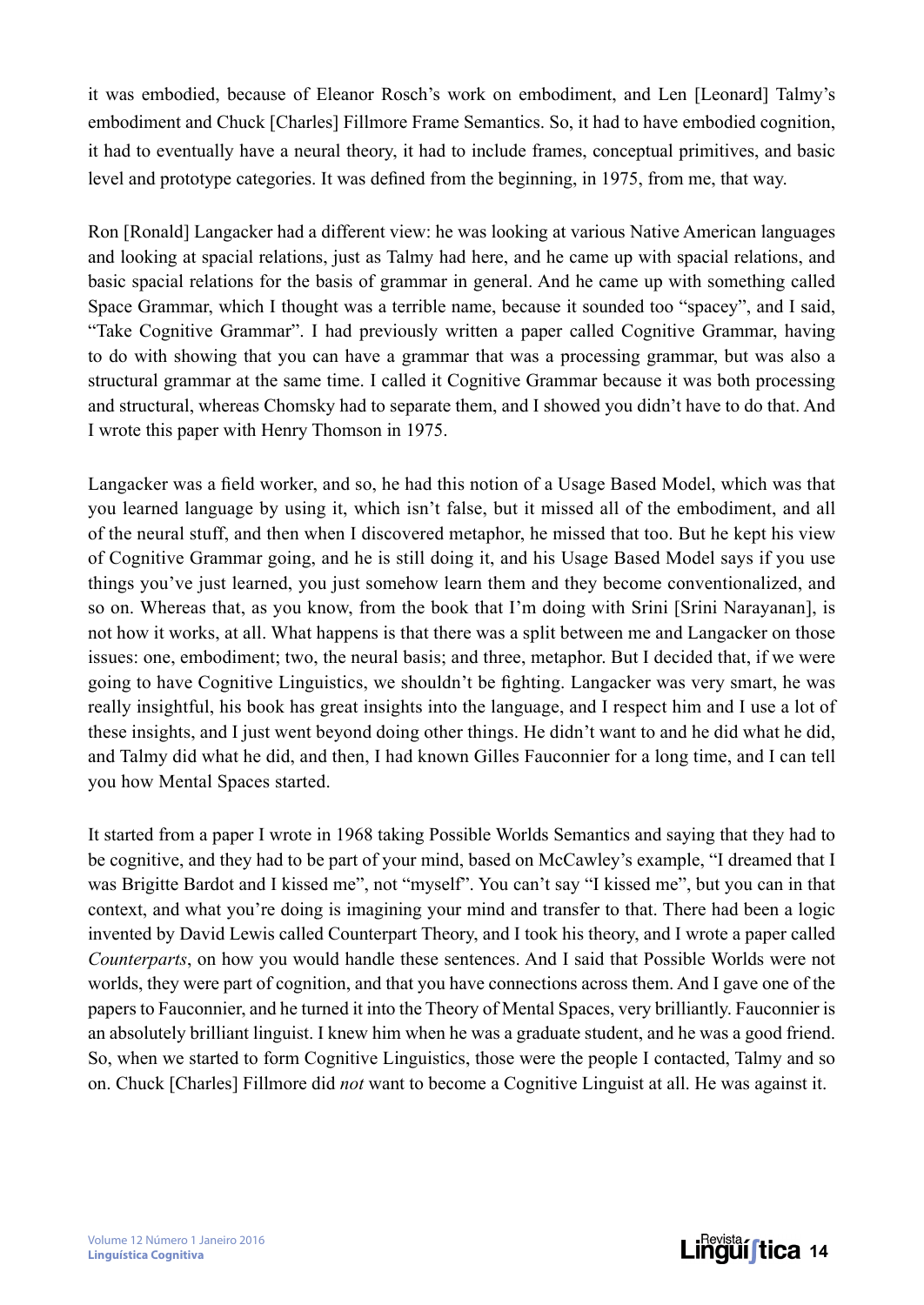it was embodied, because of Eleanor Rosch's work on embodiment, and Len [Leonard] Talmy's embodiment and Chuck [Charles] Fillmore Frame Semantics. So, it had to have embodied cognition, it had to eventually have a neural theory, it had to include frames, conceptual primitives, and basic level and prototype categories. It was defined from the beginning, in 1975, from me, that way.

Ron [Ronald] Langacker had a different view: he was looking at various Native American languages and looking at spacial relations, just as Talmy had here, and he came up with spacial relations, and basic spacial relations for the basis of grammar in general. And he came up with something called Space Grammar, which I thought was a terrible name, because it sounded too "spacey", and I said, "Take Cognitive Grammar". I had previously written a paper called Cognitive Grammar, having to do with showing that you can have a grammar that was a processing grammar, but was also a structural grammar at the same time. I called it Cognitive Grammar because it was both processing and structural, whereas Chomsky had to separate them, and I showed you didn't have to do that. And I wrote this paper with Henry Thomson in 1975.

Langacker was a field worker, and so, he had this notion of a Usage Based Model, which was that you learned language by using it, which isn't false, but it missed all of the embodiment, and all of the neural stuff, and then when I discovered metaphor, he missed that too. But he kept his view of Cognitive Grammar going, and he is still doing it, and his Usage Based Model says if you use things you've just learned, you just somehow learn them and they become conventionalized, and so on. Whereas that, as you know, from the book that I'm doing with Srini [Srini Narayanan], is not how it works, at all. What happens is that there was a split between me and Langacker on those issues: one, embodiment; two, the neural basis; and three, metaphor. But I decided that, if we were going to have Cognitive Linguistics, we shouldn't be fighting. Langacker was very smart, he was really insightful, his book has great insights into the language, and I respect him and I use a lot of these insights, and I just went beyond doing other things. He didn't want to and he did what he did, and Talmy did what he did, and then, I had known Gilles Fauconnier for a long time, and I can tell you how Mental Spaces started.

It started from a paper I wrote in 1968 taking Possible Worlds Semantics and saying that they had to be cognitive, and they had to be part of your mind, based on McCawley's example, "I dreamed that I was Brigitte Bardot and I kissed me", not "myself". You can't say "I kissed me", but you can in that context, and what you're doing is imagining your mind and transfer to that. There had been a logic invented by David Lewis called Counterpart Theory, and I took his theory, and I wrote a paper called *Counterparts*, on how you would handle these sentences. And I said that Possible Worlds were not worlds, they were part of cognition, and that you have connections across them. And I gave one of the papers to Fauconnier, and he turned it into the Theory of Mental Spaces, very brilliantly. Fauconnier is an absolutely brilliant linguist. I knew him when he was a graduate student, and he was a good friend. So, when we started to form Cognitive Linguistics, those were the people I contacted, Talmy and so on. Chuck [Charles] Fillmore did *not* want to become a Cognitive Linguist at all. He was against it.

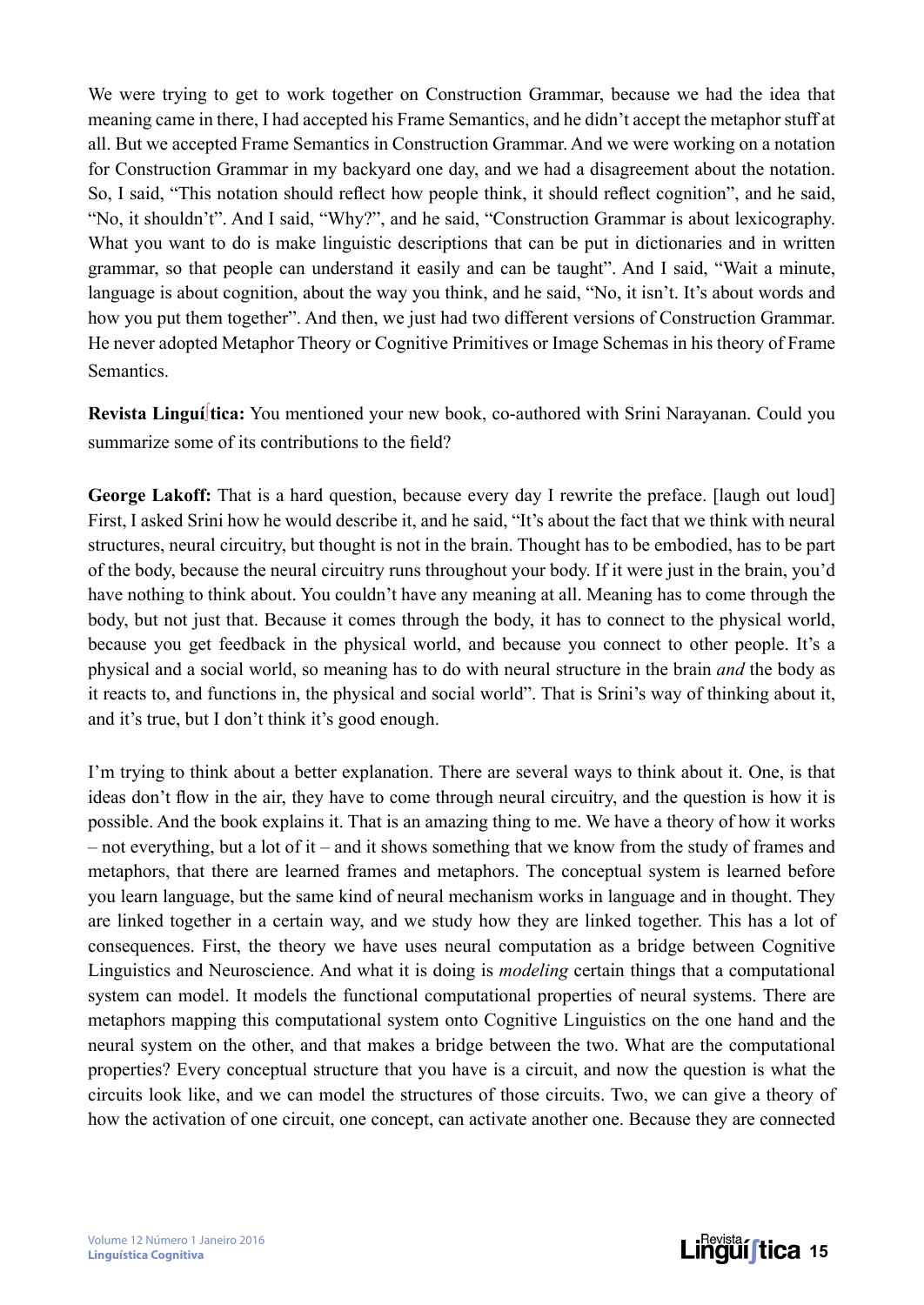We were trying to get to work together on Construction Grammar, because we had the idea that meaning came in there, I had accepted his Frame Semantics, and he didn't accept the metaphor stuff at all. But we accepted Frame Semantics in Construction Grammar. And we were working on a notation for Construction Grammar in my backyard one day, and we had a disagreement about the notation. So, I said, "This notation should reflect how people think, it should reflect cognition", and he said, "No, it shouldn't". And I said, "Why?", and he said, "Construction Grammar is about lexicography. What you want to do is make linguistic descriptions that can be put in dictionaries and in written grammar, so that people can understand it easily and can be taught". And I said, "Wait a minute, language is about cognition, about the way you think, and he said, "No, it isn't. It's about words and how you put them together". And then, we just had two different versions of Construction Grammar. He never adopted Metaphor Theory or Cognitive Primitives or Image Schemas in his theory of Frame **Semantics** 

**Revista Linguí**∫**tica:** You mentioned your new book, co-authored with Srini Narayanan. Could you summarize some of its contributions to the field?

George Lakoff: That is a hard question, because every day I rewrite the preface. [laugh out loud] First, I asked Srini how he would describe it, and he said, "It's about the fact that we think with neural structures, neural circuitry, but thought is not in the brain. Thought has to be embodied, has to be part of the body, because the neural circuitry runs throughout your body. If it were just in the brain, you'd have nothing to think about. You couldn't have any meaning at all. Meaning has to come through the body, but not just that. Because it comes through the body, it has to connect to the physical world, because you get feedback in the physical world, and because you connect to other people. It's a physical and a social world, so meaning has to do with neural structure in the brain *and* the body as it reacts to, and functions in, the physical and social world". That is Srini's way of thinking about it, and it's true, but I don't think it's good enough.

I'm trying to think about a better explanation. There are several ways to think about it. One, is that ideas don't flow in the air, they have to come through neural circuitry, and the question is how it is possible. And the book explains it. That is an amazing thing to me. We have a theory of how it works – not everything, but a lot of it – and it shows something that we know from the study of frames and metaphors, that there are learned frames and metaphors. The conceptual system is learned before you learn language, but the same kind of neural mechanism works in language and in thought. They are linked together in a certain way, and we study how they are linked together. This has a lot of consequences. First, the theory we have uses neural computation as a bridge between Cognitive Linguistics and Neuroscience. And what it is doing is *modeling* certain things that a computational system can model. It models the functional computational properties of neural systems. There are metaphors mapping this computational system onto Cognitive Linguistics on the one hand and the neural system on the other, and that makes a bridge between the two. What are the computational properties? Every conceptual structure that you have is a circuit, and now the question is what the circuits look like, and we can model the structures of those circuits. Two, we can give a theory of how the activation of one circuit, one concept, can activate another one. Because they are connected